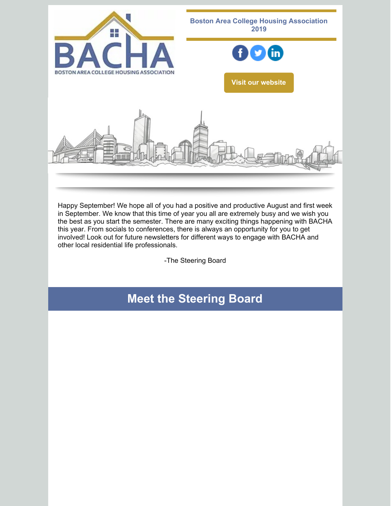

Happy September! We hope all of you had a positive and productive August and first week in September. We know that this time of year you all are extremely busy and we wish you the best as you start the semester. There are many exciting things happening with BACHA this year. From socials to conferences, there is always an opportunity for you to get involved! Look out for future newsletters for different ways to engage with BACHA and other local residential life professionals.

-The Steering Board

# **Meet the Steering Board**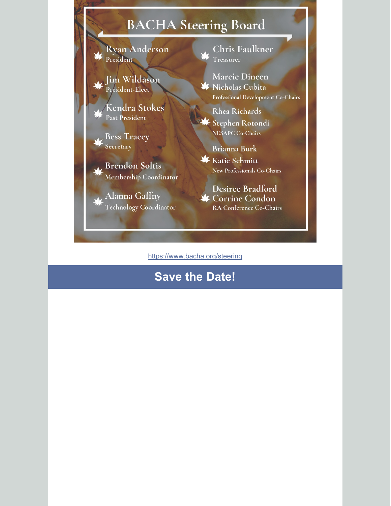# BACHA Steering Board

**Ryan Anderson** President

Ji<mark>m Wildason</mark><br>President-Elect

Kendra Stokes **Past President** 

**Bess Tracey** Secretary

**Brendon Soltis** Membership Coordinator

Alanna Gaffny Technology Coordinator Chris Faulkner Treasurer

**Marcie Dineen** X Nicholas Cubita Professional Development Co-Chairs

Rhea Richards Stephen Rotondi

NESAPC Co-Chairs

**Brianna Burk X** Katie Schmitt

New Professionals Co-Chairs

**Desiree Bradford ★ Corrine Condon** RA Conference Co-Chairs

https://www.bacha.org/steering

# **Save the Date!**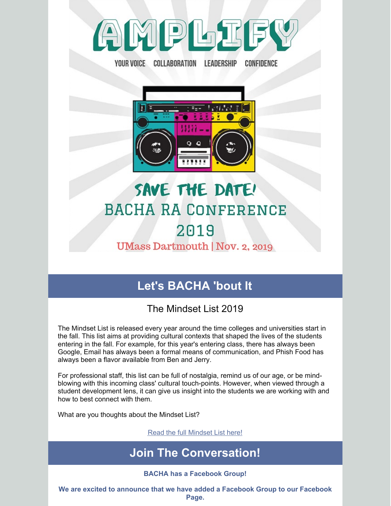

YOUR VOICE COLLABORATION LEADERSHIP

CONFIDENCE

前時 日

# SAVE THE DATE! **BACHA RA CONFERENCE** 2019

### **UMass Dartmouth | Nov. 2, 2019**

# **Let's BACHA 'bout It**

### The Mindset List 2019

The Mindset List is released every year around the time colleges and universities start in the fall. This list aims at providing cultural contexts that shaped the lives of the students entering in the fall. For example, for this year's entering class, there has always been Google, Email has always been a formal means of communication, and Phish Food has always been a flavor available from Ben and Jerry.

For professional staff, this list can be full of nostalgia, remind us of our age, or be mindblowing with this incoming class' cultural touch-points. However, when viewed through a student development lens, it can give us insight into the students we are working with and how to best connect with them.

What are you thoughts about the Mindset List?

Read the full [Mindset](http://themindsetlist.com/lists/the-mindset-list-for-the-class-of-2019/) List here!

# **Join The Conversation!**

#### **BACHA has a Facebook Group!**

**We are excited to announce that we have added a Facebook Group to our Facebook Page.**